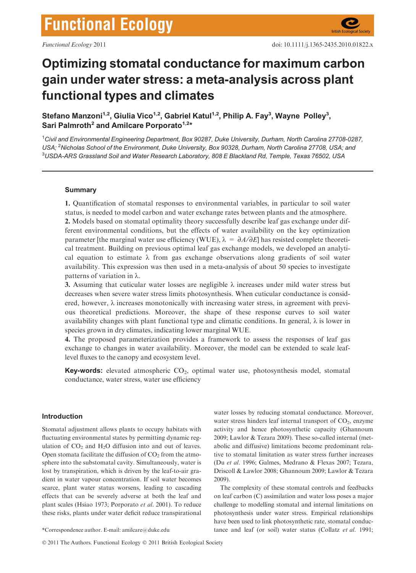# Optimizing stomatal conductance for maximum carbon gain under water stress: a meta-analysis across plant functional types and climates

Stefano Manzoni<sup>1,2</sup>, Giulia Vico<sup>1,2</sup>, Gabriel Katul<sup>1,2</sup>, Philip A. Fay<sup>3</sup>, Wayne Polley<sup>3</sup>, Sari Palmroth<sup>2</sup> and Amilcare Porporato<sup>1,2\*</sup>

<sup>1</sup>Civil and Environmental Engineering Department, Box 90287, Duke University, Durham, North Carolina 27708-0287, USA; <sup>2</sup>Nicholas School of the Environment, Duke University, Box 90328, Durham, North Carolina 27708, USA; and  $^3$ USDA-ARS Grassland Soil and Water Research Laboratory, 808 E Blackland Rd, Temple, Texas 76502, USA

# **Summary**

1. Quantification of stomatal responses to environmental variables, in particular to soil water status, is needed to model carbon and water exchange rates between plants and the atmosphere. 2. Models based on stomatal optimality theory successfully describe leaf gas exchange under different environmental conditions, but the effects of water availability on the key optimization parameter [the marginal water use efficiency (WUE),  $\lambda = \partial A/\partial E$ ] has resisted complete theoretical treatment. Building on previous optimal leaf gas exchange models, we developed an analytical equation to estimate  $\lambda$  from gas exchange observations along gradients of soil water availability. This expression was then used in a meta-analysis of about 50 species to investigate patterns of variation in  $\lambda$ .

3. Assuming that cuticular water losses are negligible  $\lambda$  increases under mild water stress but decreases when severe water stress limits photosynthesis. When cuticular conductance is considered, however,  $\lambda$  increases monotonically with increasing water stress, in agreement with previous theoretical predictions. Moreover, the shape of these response curves to soil water availability changes with plant functional type and climatic conditions. In general,  $\lambda$  is lower in species grown in dry climates, indicating lower marginal WUE.

4. The proposed parameterization provides a framework to assess the responses of leaf gas exchange to changes in water availability. Moreover, the model can be extended to scale leaflevel fluxes to the canopy and ecosystem level.

Key-words: elevated atmospheric CO<sub>2</sub>, optimal water use, photosynthesis model, stomatal conductance, water stress, water use efficiency

# Introduction

Stomatal adjustment allows plants to occupy habitats with fluctuating environmental states by permitting dynamic regulation of  $CO<sub>2</sub>$  and  $H<sub>2</sub>O$  diffusion into and out of leaves. Open stomata facilitate the diffusion of  $CO<sub>2</sub>$  from the atmosphere into the substomatal cavity. Simultaneously, water is lost by transpiration, which is driven by the leaf-to-air gradient in water vapour concentration. If soil water becomes scarce, plant water status worsens, leading to cascading effects that can be severely adverse at both the leaf and plant scales (Hsiao 1973; Porporato et al. 2001). To reduce these risks, plants under water deficit reduce transpirational

water losses by reducing stomatal conductance. Moreover, water stress hinders leaf internal transport of  $CO<sub>2</sub>$ , enzyme activity and hence photosynthetic capacity (Ghannoum 2009; Lawlor & Tezara 2009). These so-called internal (metabolic and diffusive) limitations become predominant relative to stomatal limitation as water stress further increases (Du et al. 1996; Galmes, Medrano & Flexas 2007; Tezara, Driscoll & Lawlor 2008; Ghannoum 2009; Lawlor & Tezara 2009).

The complexity of these stomatal controls and feedbacks on leaf carbon (C) assimilation and water loss poses a major challenge to modelling stomatal and internal limitations on photosynthesis under water stress. Empirical relationships have been used to link photosynthetic rate, stomatal conduc- \*Correspondence author. E-mail: amilcare@duke.edu tance and leaf (or soil) water status (Collatz et al. 1991;

<sup>© 2011</sup> The Authors. Functional Ecology © 2011 British Ecological Society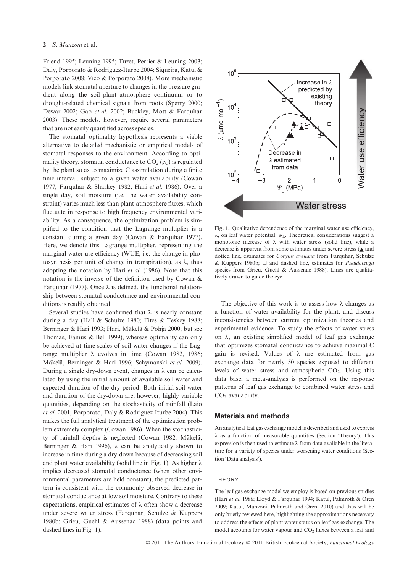Friend 1995; Leuning 1995; Tuzet, Perrier & Leuning 2003; Daly, Porporato & Rodriguez-Iturbe 2004; Siqueira, Katul & Porporato 2008; Vico & Porporato 2008). More mechanistic models link stomatal aperture to changes in the pressure gradient along the soil–plant–atmosphere continuum or to drought-related chemical signals from roots (Sperry 2000; Dewar 2002; Gao et al. 2002; Buckley, Mott & Farquhar 2003). These models, however, require several parameters that are not easily quantified across species.

The stomatal optimality hypothesis represents a viable alternative to detailed mechanistic or empirical models of stomatal responses to the environment. According to optimality theory, stomatal conductance to  $CO<sub>2</sub>(g<sub>C</sub>)$  is regulated by the plant so as to maximize C assimilation during a finite time interval, subject to a given water availability (Cowan 1977; Farquhar & Sharkey 1982; Hari et al. 1986). Over a single day, soil moisture (i.e. the water availability constraint) varies much less than plant-atmosphere fluxes, which fluctuate in response to high frequency environmental variability. As a consequence, the optimization problem is simplified to the condition that the Lagrange multiplier is a constant during a given day (Cowan & Farquhar 1977). Here, we denote this Lagrange multiplier, representing the marginal water use efficiency (WUE; i.e. the change in photosynthesis per unit of change in transpiration), as  $\lambda$ , thus adopting the notation by Hari et al. (1986). Note that this notation is the inverse of the definition used by Cowan & Farquhar (1977). Once  $\lambda$  is defined, the functional relationship between stomatal conductance and environmental conditions is readily obtained.

Several studies have confirmed that  $\lambda$  is nearly constant during a day (Hall & Schulze 1980; Fites & Teskey 1988; Berninger & Hari 1993; Hari, Mäkelä & Pohja 2000; but see Thomas, Eamus & Bell 1999), whereas optimality can only be achieved at time-scales of soil water changes if the Lagrange multiplier  $\lambda$  evolves in time (Cowan 1982, 1986; Mäkelä, Berninger & Hari 1996; Schymanski et al. 2009). During a single dry-down event, changes in  $\lambda$  can be calculated by using the initial amount of available soil water and expected duration of the dry period. Both initial soil water and duration of the dry-down are, however, highly variable quantities, depending on the stochasticity of rainfall (Laio et al. 2001; Porporato, Daly & Rodriguez-Iturbe 2004). This makes the full analytical treatment of the optimization problem extremely complex (Cowan 1986). When the stochasticity of rainfall depths is neglected (Cowan 1982; Mäkelä, Berninger & Hari 1996),  $\lambda$  can be analytically shown to increase in time during a dry-down because of decreasing soil and plant water availability (solid line in Fig. 1). As higher  $\lambda$ implies decreased stomatal conductance (when other environmental parameters are held constant), the predicted pattern is consistent with the commonly observed decrease in stomatal conductance at low soil moisture. Contrary to these expectations, empirical estimates of  $\lambda$  often show a decrease under severe water stress (Farquhar, Schulze & Kuppers 1980b; Grieu, Guehl & Aussenac 1988) (data points and dashed lines in Fig. 1).



Fig. 1. Qualitative dependence of the marginal water use efficiency,  $\lambda$ , on leaf water potential,  $\psi_L$ . Theoretical considerations suggest a monotonic increase of  $\lambda$  with water stress (solid line), while a decrease is apparent from some estimates under severe stress  $($  $\blacktriangle$  and dotted line, estimates for Corylus avellana from Farquhar, Schulze & Kuppers 1980b;  $\Box$  and dashed line, estimates for *Pseudotzuga* species from Grieu, Guehl & Aussenac 1988). Lines are qualitatively drawn to guide the eye.

The objective of this work is to assess how  $\lambda$  changes as a function of water availability for the plant, and discuss inconsistencies between current optimization theories and experimental evidence. To study the effects of water stress on  $\lambda$ , an existing simplified model of leaf gas exchange that optimizes stomatal conductance to achieve maximal C gain is revised. Values of  $\lambda$  are estimated from gas exchange data for nearly 50 species exposed to different levels of water stress and atmospheric CO2. Using this data base, a meta-analysis is performed on the response patterns of leaf gas exchange to combined water stress and  $CO<sub>2</sub>$  availability.

## Materials and methods

An analytical leaf gas exchange model is described and used to express  $\lambda$  as a function of measurable quantities (Section 'Theory'). This expression is then used to estimate  $\lambda$  from data available in the literature for a variety of species under worsening water conditions (Section 'Data analysis').

## THEORY

The leaf gas exchange model we employ is based on previous studies (Hari et al. 1986; Lloyd & Farquhar 1994; Katul, Palmroth & Oren 2009; Katul, Manzoni, Palmroth and Oren, 2010) and thus will be only briefly reviewed here, highlighting the approximations necessary to address the effects of plant water status on leaf gas exchange. The model accounts for water vapour and CO<sub>2</sub> fluxes between a leaf and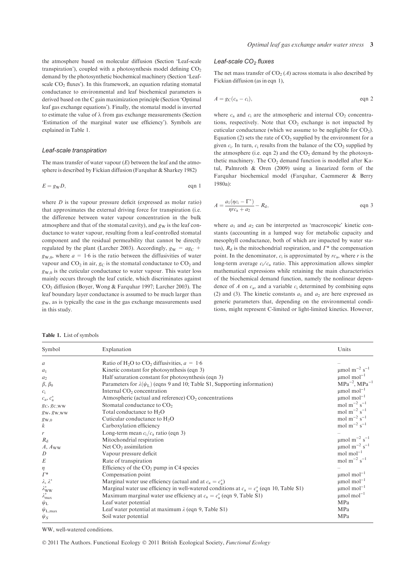the atmosphere based on molecular diffusion (Section 'Leaf-scale transpiration'), coupled with a photosynthesis model defining  $CO<sub>2</sub>$ demand by the photosynthetic biochemical machinery (Section 'Leafscale  $CO<sub>2</sub>$  fluxes'). In this framework, an equation relating stomatal conductance to environmental and leaf biochemical parameters is derived based on the C gain maximization principle (Section 'Optimal leaf gas exchange equations'). Finally, the stomatal model is inverted to estimate the value of  $\lambda$  from gas exchange measurements (Section 'Estimation of the marginal water use efficiency'). Symbols are explained in Table 1.

## Leaf-scale transpiration

The mass transfer of water vapour  $(E)$  between the leaf and the atmosphere is described by Fickian diffusion (Farquhar & Sharkey 1982)

$$
E = gWD, \t eqn 1
$$

where  $D$  is the vapour pressure deficit (expressed as molar ratio) that approximates the external driving force for transpiration (i.e. the difference between water vapour concentration in the bulk atmosphere and that of the stomatal cavity), and  $g_W$  is the leaf conductance to water vapour, resulting from a leaf-controlled stomatal component and the residual permeability that cannot be directly regulated by the plant (Larcher 2003). Accordingly,  $g_W = ag_C +$  $g_{W,0}$ , where  $a = 1.6$  is the ratio between the diffusivities of water vapour and  $CO<sub>2</sub>$  in air,  $g<sub>C</sub>$  is the stomatal conductance to  $CO<sub>2</sub>$  and  $g_{W,0}$  is the cuticular conductance to water vapour. This water loss mainly occurs through the leaf cuticle, which discriminates against CO<sub>2</sub> diffusion (Boyer, Wong & Farquhar 1997; Larcher 2003). The leaf boundary layer conductance is assumed to be much larger than  $g_W$ , as is typically the case in the gas exchange measurements used in this study.

| <b>Table 1.</b> List of symbols |  |  |
|---------------------------------|--|--|
|                                 |  |  |

#### Leaf-scale  $CO<sub>2</sub>$  fluxes

The net mass transfer of  $CO<sub>2</sub>(A)$  across stomata is also described by Fickian diffusion (as in eqn 1),

$$
A = g_C(c_a - c_i), \qquad \text{eqn 2}
$$

where  $c_a$  and  $c_i$  are the atmospheric and internal  $CO_2$  concentrations, respectively. Note that  $CO<sub>2</sub>$  exchange is not impacted by cuticular conductance (which we assume to be negligible for  $CO<sub>2</sub>$ ). Equation (2) sets the rate of  $CO<sub>2</sub>$  supplied by the environment for a given  $c_i$ . In turn,  $c_i$  results from the balance of the  $CO_2$  supplied by the atmosphere (i.e. eqn 2) and the  $CO<sub>2</sub>$  demand by the photosynthetic machinery. The  $CO<sub>2</sub>$  demand function is modelled after Katul, Palmroth & Oren (2009) using a linearized form of the Farquhar biochemical model (Farquhar, Caemmerer & Berry 1980a):

$$
A = \frac{a_1(\eta c_1 - \Gamma^*)}{\eta r c_1 + a_2} - R_d, \qquad \text{eqn 3}
$$

where  $a_1$  and  $a_2$  can be interpreted as 'macroscopic' kinetic constants (accounting in a lumped way for metabolic capacity and mesophyll conductance, both of which are impacted by water status),  $R_d$  is the mitochondrial respiration, and  $\Gamma^*$  the compensation point. In the denominator,  $c_i$  is approximated by  $rc_a$ , where r is the long-term average  $c_i/c_a$  ratio. This approximation allows simpler mathematical expressions while retaining the main characteristics of the biochemical demand function, namely the nonlinear dependence of A on  $c_a$ , and a variable  $c_i$  determined by combining eqns (2) and (3). The kinetic constants  $a_1$  and  $a_2$  are here expressed as generic parameters that, depending on the environmental conditions, might represent C-limited or light-limited kinetics. However,

| Symbol               | Explanation                                                                                  | Units                                                         |
|----------------------|----------------------------------------------------------------------------------------------|---------------------------------------------------------------|
| a                    | Ratio of H <sub>2</sub> O to CO <sub>2</sub> diffusivities, $a = 1.6$                        |                                                               |
| a <sub>1</sub>       | Kinetic constant for photosynthesis (eqn 3)                                                  | $\upmu$ mol $\upmu^{-2}$ s $^{-1}$                            |
| a <sub>2</sub>       | Half saturation constant for photosynthesis (eqn 3)                                          | $\mu$ mol mol $^{-1}$                                         |
| $\beta, \beta_0$     | Parameters for $\lambda(\psi_L)$ (eqns 9 and 10; Table S1, Supporting information)           | $MPa^{-2}$ , $MPa^{-1}$                                       |
| $c_i$                | Internal CO <sub>2</sub> concentration                                                       | $\mu$ mol mol <sup>-1</sup>                                   |
| $c_a, c_a^*$         | Atmospheric (actual and reference) $CO2$ concentrations                                      | $\mu$ mol mol $^{-1}$                                         |
| $g_C, g_{C,WW}$      | Stomatal conductance to $CO2$                                                                | mol m <sup><math>-2</math></sup> s <sup><math>-1</math></sup> |
| $g_W, g_{W,WW}$      | Total conductance to $H_2O$                                                                  | mol $m^{-2}$ s <sup>-1</sup>                                  |
| $g_{\mathrm{W},0}$   | Cuticular conductance to $H_2O$                                                              | mol $m^{-2}$ s <sup>-1</sup>                                  |
| $\boldsymbol{k}$     | Carboxylation efficiency                                                                     | mol $m^{-2}$ s <sup>-1</sup>                                  |
| r                    | Long-term mean $c_i/c_a$ ratio (eqn 3)                                                       |                                                               |
| $R_{\rm d}$          | Mitochondrial respiration                                                                    | $\mu \text{mol m}^{-2} \text{ s}^{-1}$                        |
| $A, A_{WW}$          | Net $CO2$ assimilation                                                                       | $\upmu \text{mol m}^{-2} \text{ s}^{-1}$                      |
| D                    | Vapour pressure deficit                                                                      | $mol$ mol <sup><math>-1</math></sup>                          |
| E                    | Rate of transpiration                                                                        | mol m <sup><math>-2</math></sup> s <sup><math>-1</math></sup> |
| η                    | Efficiency of the CO <sub>2</sub> pump in C4 species                                         |                                                               |
| $\varGamma^*$        | Compensation point                                                                           | $\mu$ mol mol <sup>-1</sup>                                   |
| $\lambda, \lambda^*$ | Marginal water use efficiency (actual and at $c_a = c_a^*$ )                                 | $\mu$ mol mol $^{-1}$                                         |
| $\lambda^*_{\rm WW}$ | Marginal water use efficiency in well-watered conditions at $c_a = c_a^*$ (eqn 10, Table S1) | $\mu$ mol mol <sup>-1</sup>                                   |
| $\lambda^*_{\max}$   | Maximum marginal water use efficiency at $c_a = c_a^*$ (eqn 9, Table S1)                     | $\mu$ mol mol $^{-1}$                                         |
| $\psi_{\rm L}$       | Leaf water potential                                                                         | MPa                                                           |
| $\psi_{L, max}$      | Leaf water potential at maximum $\lambda$ (eqn 9, Table S1)                                  | MPa                                                           |
| $\psi_{S}$           | Soil water potential                                                                         | MPa                                                           |

WW, well-watered conditions.

© 2011 The Authors. Functional Ecology © 2011 British Ecological Society, *Functional Ecology*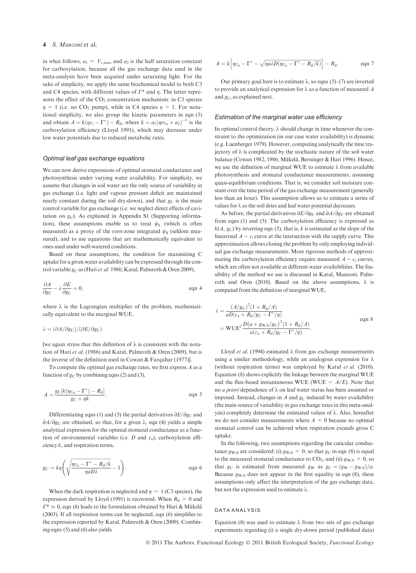## 4 S. Manzoni et al.

in what follows,  $a_1 = V_{c,max}$  and  $a_2$  is the half saturation constant for carboxylation, because all the gas exchange data used in the meta-analysis have been acquired under saturating light. For the sake of simplicity, we apply the same biochemical model to both C3 and C4 species, with different values of  $\Gamma^*$  and  $\eta$ . The latter represents the effect of the  $CO<sub>2</sub>$  concentration mechanism: in  $C<sub>3</sub>$  species  $\eta = 1$  (i.e. no CO<sub>2</sub> pump), while in C4 species  $\eta > 1$ . For notational simplicity, we also group the kinetic parameters in eqn (3) and obtain  $A = k(\eta c_1 - \Gamma^*) - R_d$ , where  $k = a_1(\eta r c_1 + a_2)^{-1}$  is the carboxylation efficiency (Lloyd 1991), which may decrease under low water potentials due to reduced metabolic rates.

# Optimal leaf gas exchange equations

We can now derive expressions of optimal stomatal conductance and photosynthesis under varying water availability. For simplicity, we assume that changes in soil water are the only source of variability in gas exchange (i.e. light and vapour pressure deficit are maintained nearly constant during the soil dry-down), and that  $g_C$  is the main control variable for gas exchange (i.e. we neglect direct effects of cavitation on  $g_C$ ). As explained in Appendix S1 (Supporting information), these assumptions enable us to treat  $\psi_L$  (which is often measured) as a proxy of the root-zone integrated  $\psi$ <sub>S</sub> (seldom measured), and to use equations that are mathematically equivalent to ones used under well-watered conditions.

Based on these assumptions, the condition for maximizing C uptake for a given water availability can be expressed through the control variable  $g_C$  as (Hari et al. 1986; Katul, Palmroth & Oren 2009),

$$
\frac{\partial A}{\partial g_C} - \lambda \frac{\partial E}{\partial g_C} = 0, \qquad \text{eqn 4}
$$

where  $\lambda$  is the Lagrangian multiplier of the problem, mathematically equivalent to the marginal WUE,

$$
\lambda = (\partial A/\partial g_C)/(\partial E/\partial g_C)
$$

[we again stress that this definition of  $\lambda$  is consistent with the notation of Hari et al. (1986) and Katul, Palmroth & Oren (2009), but is the inverse of the definition used in Cowan & Farquhar (1977)].

To compute the optimal gas exchange rates, we first express  $A$  as a function of  $g_C$  by combining eqns (2) and (3),

$$
A = \frac{\text{gc}[k(\eta c_a - \Gamma^*) - R_d]}{\text{gc} + \eta k}.
$$
eqn 5

Differentiating eqns (1) and (5) the partial derivatives  $\partial E / \partial g_C$  and  $\partial A / \partial g_C$  are obtained, so that, for a given  $\lambda$ , eqn (4) yields a simple analytical expression for the optimal stomatal conductance as a function of environmental variables (i.e.  $D$  and  $c_a$ ), carboxylation efficiency  $k$ , and respiration terms,

$$
g_{\rm C} = k\eta \left( \sqrt{\frac{\eta c_{\rm a} - \Gamma^* - R_{\rm d}/k}{\eta a D\lambda}} - 1 \right). \tag{eqn 6}
$$

When the dark respiration is neglected and  $\eta = 1$  (C3 species), the expression derived by Lloyd (1991) is recovered. When  $R<sub>d</sub> > 0$  and  $\Gamma^* \approx 0$ , eqn (6) leads to the formulation obtained by Hari & Mäkelä (2003). If all respiration terms can be neglected, eqn (6) simplifies to the expression reported by Katul, Palmroth & Oren (2009). Combining eqns (5) and (6) also yields

$$
A = k \Big[ \eta c_a - \Gamma^* - \sqrt{\eta a \lambda D (\eta c_a - \Gamma^* - R_d / k)} \Big] - R_d.
$$
eqn 7

Our primary goal here is to estimate  $\lambda$ , so eqns (5)–(7) are inverted to provide an analytical expression for  $\lambda$  as a function of measured A and  $g_C$ , as explained next.

#### Estimation of the marginal water use efficiency

In optimal control theory,  $\lambda$  should change in time whenever the constraint to the optimization (in our case water availability) is dynamic (e.g. Luenberger 1979). However, computing analytically the time trajectory of  $\lambda$  is complicated by the stochastic nature of the soil water balance (Cowan 1982, 1986; Mäkelä, Berninger & Hari 1996). Hence, we use the definition of marginal WUE to estimate  $\lambda$  from available photosynthesis and stomatal conductance measurements, assuming quasi-equilibrium conditions. That is, we consider soil moisture constant over the time period of the gas exchange measurement (generally less than an hour). This assumption allows us to estimate a series of values for  $\lambda$  as the soil dries and leaf water potential decreases.

As before, the partial derivatives  $\partial E/\partial g_C$  and  $\partial A/\partial g_C$  are obtained from eqns (1) and (5). The carboxylation efficiency is expressed as  $k(A, g_C)$  by inverting eqn (5), that is, k is estimated as the slope of the linearized  $A - c_i$  curve at the intersection with the supply curve. This approximation allows closing the problem by only employing individual gas exchange measurements. More rigorous methods of approximating the carboxylation efficiency require measured  $A - c_i$  curves, which are often not available at different water availabilities. The feasibility of the method we use is discussed in Katul, Manzoni, Palmroth and Oren (2010). Based on the above assumptions,  $\lambda$  is computed from the definition of marginal WUE,

$$
\lambda = \frac{(A/g_{\rm C})^2 (1 + R_{\rm d}/A)}{aD(c_{\rm a} + R_{\rm d}/g_{\rm C} - \Gamma^*/\eta)} \n= WUE^2 \frac{D(a + g_{\rm W,0}/g_{\rm C})^2 (1 + R_{\rm d}/A)}{a(c_{\rm a} + R_{\rm d}/g_{\rm C} - \Gamma^*/\eta)}.
$$
\n
$$
\text{eqn 8}
$$

Lloyd *et al.* (1994) estimated  $\lambda$  from gas exchange measurements using a similar methodology, while an analogous expression for  $\lambda$ (without respiration terms) was employed by Katul et al. (2010). Equation (8) shows explicitly the linkage between the marginal WUE and the flux-based instantaneous WUE (WUE =  $A/E$ ). Note that no *a priori* dependence of  $\lambda$  on leaf water status has been assumed or imposed. Instead, changes in  $A$  and  $g_C$  induced by water availability (the main source of variability in gas exchange rates in this meta-analysis) completely determine the estimated values of  $\lambda$ . Also, hereafter we do not consider measurements where  $A \leq 0$  because no optimal stomatal control can be achieved when respiration exceeds gross C uptake.

In the following, two assumptions regarding the cuticular conductance  $g_{W,0}$  are considered: (i)  $g_{W,0} = 0$ , so that  $g_C$  in eqn (8) is equal to the measured stomatal conductance to  $CO_2$ , and (ii)  $g_{W,0} > 0$ , so that  $g_C$  is estimated from measured  $g_W$  as  $g_C = (g_W - g_{W,0})/a$ . Because  $g_{W,0}$  does not appear in the first equality in eqn (8), these assumptions only affect the interpretation of the gas exchange data, but not the expression used to estimate  $\lambda$ .

#### DATA ANALYSIS

Equation (8) was used to estimate  $\lambda$  from two sets of gas exchange experiments regarding (i) a single dry-down period (published data)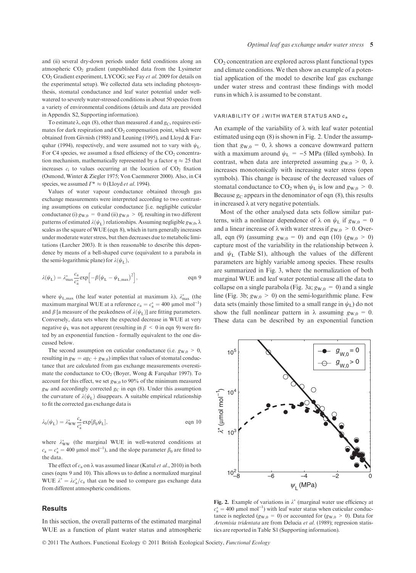and (ii) several dry-down periods under field conditions along an atmospheric  $CO<sub>2</sub>$  gradient (unpublished data from the Lysimeter CO<sub>2</sub> Gradient experiment, LYCOG; see Fay et al. 2009 for details on the experimental setup). We collected data sets including photosynthesis, stomatal conductance and leaf water potential under wellwatered to severely water-stressed conditions in about 50 species from a variety of environmental conditions (details and data are provided in Appendix S2, Supporting information).

To estimate  $\lambda$ , eqn (8), other than measured A and  $g_C$ , requires estimates for dark respiration and  $CO<sub>2</sub>$  compensation point, which were obtained from Givnish (1988) and Leuning (1995), and Lloyd & Farquhar (1994), respectively, and were assumed not to vary with  $\psi_L$ . For C4 species, we assumed a fixed efficiency of the  $CO<sub>2</sub>$  concentration mechanism, mathematically represented by a factor  $\eta \approx 25$  that increases  $c_i$  to values occurring at the location of  $CO<sub>2</sub>$  fixation (Osmond, Winter & Ziegler 1975; Von Caemmerer 2000). Also, in C4 species, we assumed  $\Gamma^* \approx 0$  (Lloyd *et al.* 1994).

Values of water vapour conductance obtained through gas exchange measurements were interpreted according to two contrasting assumptions on cuticular conductance [i.e. negligible cuticular conductance (i)  $g_{W,0} = 0$  and (ii)  $g_{W,0} > 0$ , resulting in two different patterns of estimated  $\lambda(\psi_L)$  relationships. Assuming negligible  $g_{W,0}$ ,  $\lambda$ scales as the square of WUE (eqn 8), which in turn generally increases under moderate water stress, but then decreases due to metabolic limitations (Larcher 2003). It is then reasonable to describe this dependence by means of a bell-shaped curve (equivalent to a parabola in the semi-logarithmic plane) for  $\lambda(\psi_{\text{I}})$ ,

$$
\lambda(\psi_L) = \lambda_{\max}^* \frac{c_a}{c_a^*} \exp\left[-\beta(\psi_L - \psi_{L,\max})^2\right],
$$
eqn 9

where  $\psi_{L,\text{max}}$  (the leaf water potential at maximum  $\lambda$ ),  $\lambda_{\text{max}}^*$  (the maximum marginal WUE at a reference  $c_a = c_a^* = 400 \text{ }\mu\text{mol mol}^{-1}$ and  $\beta$  [a measure of the peakedness of  $\lambda(\psi_L)$ ] are fitting parameters. Conversely, data sets where the expected decrease in WUE at very negative  $\psi$ <sub>L</sub> was not apparent (resulting in  $\beta$  < 0 in eqn 9) were fitted by an exponential function - formally equivalent to the one discussed below.

The second assumption on cuticular conductance (i.e.  $g_{W,0} > 0$ , resulting in  $g_W = ag_C + g_{W,0}$  implies that values of stomatal conductance that are calculated from gas exchange measurements overestimate the conductance to  $CO<sub>2</sub>$  (Boyer, Wong & Farquhar 1997). To account for this effect, we set  $g_{W,0}$  to 90% of the minimum measured  $g_W$  and accordingly corrected  $g_C$  in eqn (8). Under this assumption the curvature of  $\lambda(\psi_L)$  disappears. A suitable empirical relationship to fit the corrected gas exchange data is

$$
\lambda_0(\psi_L) = \lambda_{WW}^* \frac{c_a}{c_a^*} \exp[\beta_0 \psi_L], \qquad \text{eqn 10}
$$

where  $\lambda_{\text{WW}}^*$  (the marginal WUE in well-watered conditions at  $c_{\rm a} = c_{\rm a}^* = 400 \text{ }\mu\text{mol mol}^{-1}$ ), and the slope parameter  $\beta_0$  are fitted to the data.

The effect of  $c_a$  on  $\lambda$  was assumed linear (Katul *et al.*, 2010) in both cases (eqns 9 and 10). This allows us to define a normalized marginal WUE  $\lambda^* = \lambda c_a^*/c_a$  that can be used to compare gas exchange data from different atmospheric conditions.

# Results

In this section, the overall patterns of the estimated marginal WUE as a function of plant water status and atmospheric  $CO<sub>2</sub>$  concentration are explored across plant functional types and climate conditions. We then show an example of a potential application of the model to describe leaf gas exchange under water stress and contrast these findings with model runs in which  $\lambda$  is assumed to be constant.

# VARIABILITY OF  $\lambda$  WITH WATER STATUS AND  $c_a$

An example of the variability of  $\lambda$  with leaf water potential estimated using eqn (8) is shown in Fig. 2. Under the assumption that  $g_{W,0} = 0$ ,  $\lambda$  shows a concave downward pattern with a maximum around  $\psi_L = -5$  MPa (filled symbols). In contrast, when data are interpreted assuming  $g_{W,0} > 0$ ,  $\lambda$ increases monotonically with increasing water stress (open symbols). This change is because of the decreased values of stomatal conductance to CO<sub>2</sub> when  $\psi_L$  is low and  $g_{W,0} > 0$ . Because  $g_C$  appears in the denominator of eqn (8), this results in increased  $\lambda$  at very negative potentials.

Most of the other analysed data sets follow similar patterns, with a nonlinear dependence of  $\lambda$  on  $\psi$ <sub>L</sub> if  $g_{W,0} = 0$ and a linear increase of  $\lambda$  with water stress if  $g_{W,0} > 0$ . Overall, eqn (9) (assuming  $g_{W,0} = 0$ ) and eqn (10)  $(g_{W,0} > 0)$ capture most of the variability in the relationship between  $\lambda$ and  $\psi_L$  (Table S1), although the values of the different parameters are highly variable among species. These results are summarized in Fig. 3, where the normalization of both marginal WUE and leaf water potential cause all the data to collapse on a single parabola (Fig. 3a;  $g_{W,0} = 0$ ) and a single line (Fig. 3b;  $g_{W,0} > 0$ ) on the semi-logarithmic plane. Few data sets (mainly those limited to a small range in  $\psi_L$ ) do not show the full nonlinear pattern in  $\lambda$  assuming  $g_{W,0} = 0$ . These data can be described by an exponential function



Fig. 2. Example of variations in  $\lambda^*$  (marginal water use efficiency at  $c_{\rm a}^* = 400$  µmol mol<sup>-1</sup>) with leaf water status when cuticular conductance is neglected ( $g_{W,0} = 0$ ) or accounted for ( $g_{W,0} > 0$ ). Data for Artemisia tridentata are from Delucia et al. (1989); regression statistics are reported in Table S1 (Supporting information).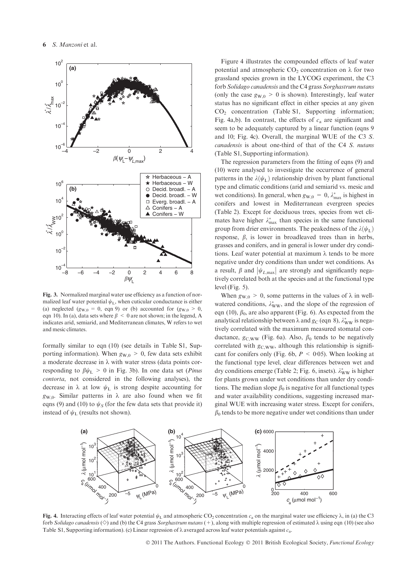

Fig. 3. Normalized marginal water use efficiency as a function of normalized leaf water potential  $\psi_L$ , when cuticular conductance is either (a) neglected  $(g_{W,0} = 0, \text{ eqn } 9)$  or (b) accounted for  $(g_{W,0} > 0, \text{ eqm } 9)$ eqn 10). In (a), data sets where  $\beta < 0$  are not shown; in the legend, A indicates arid, semiarid, and Mediterranean climates, W refers to wet and mesic climates.

formally similar to eqn (10) (see details in Table S1, Supporting information). When  $g_{W,0} > 0$ , few data sets exhibit a moderate decrease in  $\lambda$  with water stress (data points corresponding to  $\beta \psi_L > 0$  in Fig. 3b). In one data set (*Pinus* contorta, not considered in the following analyses), the decrease in  $\lambda$  at low  $\psi$ <sub>L</sub> is strong despite accounting for  $g_{W,0}$ . Similar patterns in  $\lambda$  are also found when we fit eqns (9) and (10) to  $\psi_s$  (for the few data sets that provide it) instead of  $\psi$ <sub>L</sub> (results not shown).

Figure 4 illustrates the compounded effects of leaf water potential and atmospheric  $CO<sub>2</sub>$  concentration on  $\lambda$  for two grassland species grown in the LYCOG experiment, the C3 forb Solidago canadensis and the C4 grass Sorghastrum nutans (only the case  $g_{W,0} > 0$  is shown). Interestingly, leaf water status has no significant effect in either species at any given  $CO<sub>2</sub>$  concentration (Table S1, Supporting information; Fig. 4a,b). In contrast, the effects of  $c<sub>a</sub>$  are significant and seem to be adequately captured by a linear function (eqns 9 and 10; Fig. 4c). Overall, the marginal WUE of the C3 S. canadensis is about one-third of that of the C4 S. nutans (Table S1, Supporting information).

The regression parameters from the fitting of eqns (9) and (10) were analysed to investigate the occurrence of general patterns in the  $\lambda(\psi_L)$  relationship driven by plant functional type and climatic conditions (arid and semiarid vs. mesic and wet conditions). In general, when  $g_{W,0} = 0$ ,  $\lambda_{\text{max}}^*$  is highest in conifers and lowest in Mediterranean evergreen species (Table 2). Except for deciduous trees, species from wet climates have higher  $\lambda_{\text{max}}^*$  than species in the same functional group from drier environments. The peakedness of the  $\lambda(\psi_{\text{I}})$ response,  $\beta$ , is lower in broadleaved trees than in herbs, grasses and conifers, and in general is lower under dry conditions. Leaf water potential at maximum  $\lambda$  tends to be more negative under dry conditions than under wet conditions. As a result,  $\beta$  and  $|\psi_{L,\text{max}}|$  are strongly and significantly negatively correlated both at the species and at the functional type level (Fig. 5).

When  $g_{W,0} > 0$ , some patterns in the values of  $\lambda$  in wellwatered conditions,  $\lambda_{WW}^*$ , and the slope of the regression of eqn (10),  $\beta_0$ , are also apparent (Fig. 6). As expected from the analytical relationship between  $\lambda$  and  $g_C$  (eqn 8),  $\lambda^*_{WW}$  is negatively correlated with the maximum measured stomatal conductance,  $g_{\text{C,WW}}$  (Fig. 6a). Also,  $\beta_0$  tends to be negatively correlated with  $g_{\text{C,WW}}$ , although this relationship is significant for conifers only (Fig. 6b,  $P < 0.05$ ). When looking at the functional type level, clear differences between wet and dry conditions emerge (Table 2; Fig. 6, insets).  $\lambda_{WW}^*$  is higher for plants grown under wet conditions than under dry conditions. The median slope  $\beta_0$  is negative for all functional types and water availability conditions, suggesting increased marginal WUE with increasing water stress. Except for conifers,  $\beta_0$  tends to be more negative under wet conditions than under



Fig. 4. Interacting effects of leaf water potential  $\psi_L$  and atmospheric CO<sub>2</sub> concentration  $c_a$  on the marginal water use efficiency  $\lambda$ , in (a) the C3 forb Solidago canadensis ( $\diamond$ ) and (b) the C4 grass Sorghastrum nutans (+), along with multiple regression of estimated  $\lambda$  using eqn (10) (see also Table S1, Supporting information). (c) Linear regression of  $\lambda$  averaged across leaf water potentials against  $c_a$ .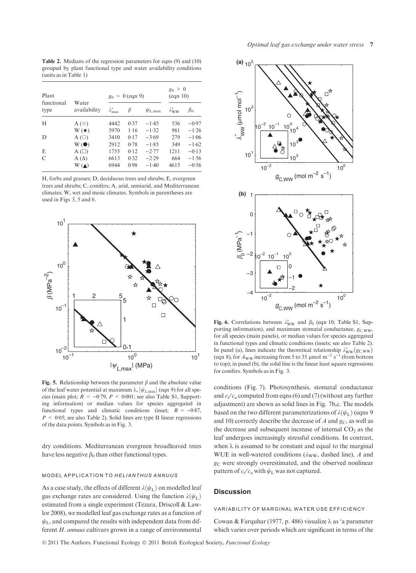Table 2. Medians of the regression parameters for eqns (9) and (10) grouped by plant functional type and water availability conditions (units as in Table 1)

| Plant<br>functional<br>type | Water<br>availability | $g_0 = 0$ (eqn 9)  |      |                 | $g_0 > 0$<br>$\left(\text{eqn } 10\right)$ |           |
|-----------------------------|-----------------------|--------------------|------|-----------------|--------------------------------------------|-----------|
|                             |                       | $\lambda_{\max}^*$ | β    | $\psi_{L, max}$ | $\lambda^*_{WW}$                           | $\beta_0$ |
| H                           | A $(\star)$           | 4442               | 0.37 | $-1.45$         | 536                                        | $-0.97$   |
|                             | $W(\star)$            | 5970               | 1.16 | $-1.32$         | 981                                        | $-1.26$   |
| D                           | A(0)                  | 3410               | 0.17 | $-3.69$         | 279                                        | $-1.06$   |
|                             | $W(\bullet)$          | 2912               | 0.78 | $-1.85$         | 349                                        | $-1.62$   |
| E                           | $A(\Box)$             | 1755               | 0.12 | $-2.77$         | 1211                                       | $-0.13$   |
| C                           | $A(\Delta)$           | 6613               | 0.32 | $-2.29$         | 664                                        | $-1.56$   |
|                             | $W(\triangle)$        | 6944               | 0.98 | $-1.40$         | 4615                                       | $-0.56$   |

H, forbs and grasses; D, deciduous trees and shrubs; E, evergreen trees and shrubs; C, conifers; A, arid, semiarid, and Mediterranean climates; W, wet and mesic climates. Symbols in parentheses are used in Figs 3, 5 and 6.



Fig. 5. Relationship between the parameter  $\beta$  and the absolute value of the leaf water potential at maximum  $\lambda$ ,  $|\psi_{L,\text{max}}|$  (eqn 9) for all species (main plot;  $R = -0.79$ ,  $P < 0.001$ ; see also Table S1, Supporting information) or median values for species aggregated in functional types and climatic conditions (inset;  $R = -0.87$ ,  $P < 0.05$ ; see also Table 2). Solid lines are type II linear regressions of the data points. Symbols as in Fig. 3.

dry conditions. Mediterranean evergreen broadleaved trees have less negative  $\beta_0$  than other functional types.

## MODEL APPLICATION TO HELIANTHUS ANNUUS

As a case study, the effects of different  $\lambda(\psi_L)$  on modelled leaf gas exchange rates are considered. Using the function  $\lambda(\psi_{\text{I}})$ estimated from a single experiment (Tezara, Driscoll & Lawlor 2008), we modelled leaf gas exchange rates as a function of  $\psi_L$ , and compared the results with independent data from different H. annuus cultivars grown in a range of environmental



Fig. 6. Correlations between  $\lambda_{WW}^*$  and  $\beta_0$  (eqn 10; Table S1, Supporting information), and maximum stomatal conductance,  $g_{C,WW}$ , for all species (main panels), or median values for species aggregated in functional types and climatic conditions (insets; see also Table 2). In panel (a), lines indicate the theoretical relationship  $\lambda_{\rm WW}^*(g_{\rm C,WW})$ (eqn 8), for  $A_{WW}$  increasing from 5 to 35 µmol m<sup>-2</sup> s<sup>-1</sup> (from bottom to top); in panel (b), the solid line is the linear least square regressions for conifers. Symbols as in Fig. 3.

conditions (Fig. 7). Photosynthesis, stomatal conductance and  $c_i/c_a$  computed from eqns (6) and (7) (without any further adjustment) are shown as solid lines in Fig. 7b,c. The models based on the two different parameterizations of  $\lambda(\psi_L)$  (eqns 9 and 10) correctly describe the decrease of  $A$  and  $g_C$ , as well as the decrease and subsequent increase of internal  $CO<sub>2</sub>$  as the leaf undergoes increasingly stressful conditions. In contrast, when  $\lambda$  is assumed to be constant and equal to the marginal WUE in well-watered conditions ( $\lambda_{WW}$ , dashed line), A and  $g_C$  were strongly overestimated, and the observed nonlinear pattern of  $c_i/c_a$  with  $\psi_L$  was not captured.

# **Discussion**

## VARIABILITY OF MARGINAL WATER USE EFFICIENCY

Cowan & Farquhar (1977, p. 486) visualize  $\lambda$  as 'a parameter which varies over periods which are significant in terms of the

© 2011 The Authors. Functional Ecology © 2011 British Ecological Society, *Functional Ecology*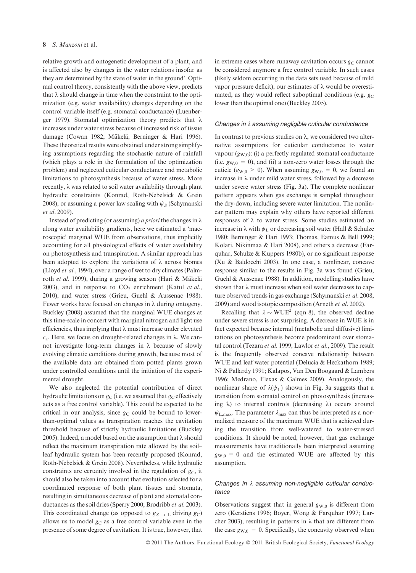## 8 S. Manzoni et al.

relative growth and ontogenetic development of a plant, and is affected also by changes in the water relations insofar as they are determined by the state of water in the ground'. Optimal control theory, consistently with the above view, predicts that  $\lambda$  should change in time when the constraint to the optimization (e.g. water availability) changes depending on the control variable itself (e.g. stomatal conductance) (Luenberger 1979). Stomatal optimization theory predicts that  $\lambda$ increases under water stress because of increased risk of tissue damage (Cowan 1982; Mäkelä, Berninger & Hari 1996). These theoretical results were obtained under strong simplifying assumptions regarding the stochastic nature of rainfall (which plays a role in the formulation of the optimization problem) and neglected cuticular conductance and metabolic limitations to photosynthesis because of water stress. More recently,  $\lambda$  was related to soil water availability through plant hydraulic constraints (Konrad, Roth-Nebelsick & Grein 2008), or assuming a power law scaling with  $\psi_S$  (Schymanski et al. 2009).

Instead of predicting (or assuming) a priori the changes in  $\lambda$ along water availability gradients, here we estimated a 'macroscopic' marginal WUE from observations, thus implicitly accounting for all physiological effects of water availability on photosynthesis and transpiration. A similar approach has been adopted to explore the variations of  $\lambda$  across biomes (Lloyd et al., 1994), over a range of wet to dry climates (Palmroth et al. 1999), during a growing season (Hari & Mäkelä 2003), and in response to  $CO<sub>2</sub>$  enrichment (Katul et al., 2010), and water stress (Grieu, Guehl & Aussenac 1988). Fewer works have focused on changes in  $\lambda$  during ontogeny. Buckley (2008) assumed that the marginal WUE changes at this time-scale in concert with marginal nitrogen and light use efficiencies, thus implying that  $\lambda$  must increase under elevated  $c_a$ . Here, we focus on drought-related changes in  $\lambda$ . We cannot investigate long-term changes in  $\lambda$  because of slowly evolving climatic conditions during growth, because most of the available data are obtained from potted plants grown under controlled conditions until the initiation of the experimental drought.

We also neglected the potential contribution of direct hydraulic limitations on  $g_C$  (i.e. we assumed that  $g_C$  effectively acts as a free control variable). This could be expected to be critical in our analysis, since  $g_C$  could be bound to lowerthan-optimal values as transpiration reaches the cavitation threshold because of strictly hydraulic limitations (Buckley 2005). Indeed, a model based on the assumption that  $\lambda$  should reflect the maximum transpiration rate allowed by the soil– leaf hydraulic system has been recently proposed (Konrad, Roth-Nebelsick & Grein 2008). Nevertheless, while hydraulic constraints are certainly involved in the regulation of  $g<sub>C</sub>$ , it should also be taken into account that evolution selected for a coordinated response of both plant tissues and stomata, resulting in simultaneous decrease of plant and stomatal conductances as the soil dries (Sperry 2000; Brodribb et al. 2003). This coordinated change (as opposed to  $g_S \rightarrow L$  driving  $g_C$ ) allows us to model  $g_C$  as a free control variable even in the presence of some degree of cavitation. It is true, however, that in extreme cases where runaway cavitation occurs  $g_C$  cannot be considered anymore a free control variable. In such cases (likely seldom occurring in the data sets used because of mild vapor pressure deficit), our estimates of  $\lambda$  would be overestimated, as they would reflect suboptimal conditions (e.g.  $g_C$ lower than the optimal one) (Buckley 2005).

#### Changes in  $\lambda$  assuming negligible cuticular conductance

In contrast to previous studies on  $\lambda$ , we considered two alternative assumptions for cuticular conductance to water vapour  $(g_{W,0})$ : (i) a perfectly regulated stomatal conductance (i.e.  $g_{W,0} = 0$ ), and (ii) a non-zero water losses through the cuticle ( $g_{W,0} > 0$ ). When assuming  $g_{W,0} = 0$ , we found an increase in  $\lambda$  under mild water stress, followed by a decrease under severe water stress (Fig. 3a). The complete nonlinear pattern appears when gas exchange is sampled throughout the dry-down, including severe water limitation. The nonlinear pattern may explain why others have reported different responses of  $\lambda$  to water stress. Some studies estimated an increase in  $\lambda$  with  $\psi_L$  or decreasing soil water (Hall & Schulze 1980; Berninger & Hari 1993; Thomas, Eamus & Bell 1999; Kolari, Nikinmaa & Hari 2008), and others a decrease (Farquhar, Schulze & Kuppers 1980b), or no significant response (Xu & Baldocchi 2003). In one case, a nonlinear, concave response similar to the results in Fig. 3a was found (Grieu, Guehl & Aussenac 1988). In addition, modelling studies have shown that  $\lambda$  must increase when soil water decreases to capture observed trends in gas exchange (Schymanski et al. 2008, 2009) and wood isotopic composition (Arneth et al. 2002).

Recalling that  $\lambda \sim WUE^2$  (eqn 8), the observed decline under severe stress is not surprising. A decrease in WUE is in fact expected because internal (metabolic and diffusive) limitations on photosynthesis become predominant over stomatal control (Tezara et al. 1999; Lawlor et al., 2009). The result is the frequently observed concave relationship between WUE and leaf water potential (Delucia & Heckathorn 1989; Ni & Pallardy 1991; Kalapos, Van Den Boogaard & Lambers 1996; Medrano, Flexas & Galmes 2009). Analogously, the nonlinear shape of  $\lambda(\psi_I)$  shown in Fig. 3a suggests that a transition from stomatal control on photosynthesis (increasing  $\lambda$ ) to internal controls (decreasing  $\lambda$ ) occurs around  $\psi_{L,max}$ . The parameter  $\lambda_{max}$  can thus be interpreted as a normalized measure of the maximum WUE that is achieved during the transition from well-watered to water-stressed conditions. It should be noted, however, that gas exchange measurements have traditionally been interpreted assuming  $g_{W,0} = 0$  and the estimated WUE are affected by this assumption.

# Changes in  $\lambda$  assuming non-negligible cuticular conductance

Observations suggest that in general  $g_{W,0}$  is different from zero (Kerstiens 1996; Boyer, Wong & Farquhar 1997; Larcher 2003), resulting in patterns in  $\lambda$  that are different from the case  $g_{W,0} = 0$ . Specifically, the concavity observed when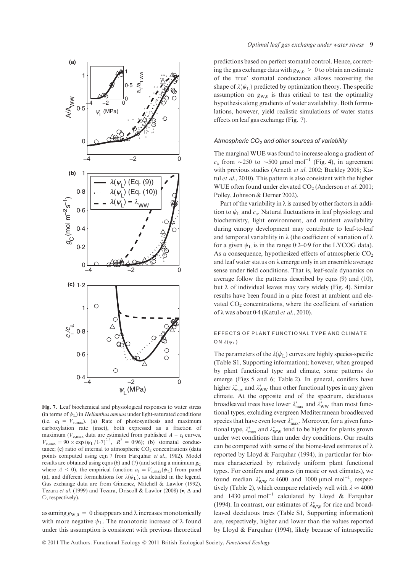

Fig. 7. Leaf biochemical and physiological responses to water stress (in terms of  $\psi_L$ ) in *Helianthus annuus* under light-saturated conditions (i.e.  $a_1 = V_{c,\text{max}}$ ). (a) Rate of photosynthesis and maximum carboxylation rate (inset), both expressed as a fraction of maximum ( $V_{c,\text{max}}$  data are estimated from published  $A - c_i$  curves,  $V_{c,\text{max}} = 90 \times \exp (\psi_L/1.7)^{2.3}, R^2 = 0.96$ ; (b) stomatal conductance; (c) ratio of internal to atmospheric  $CO<sub>2</sub>$  concentrations (data points computed using eqn 7 from Farquhar et al., 1982). Model results are obtained using eqns (6) and (7) (and setting a minimum  $g_C$ where  $A \le 0$ , the empirical function  $a_1 = V_{c,\text{max}}(\psi_L)$  from panel (a), and different formulations for  $\lambda(\psi_L)$ , as detailed in the legend. Gas exchange data are from Gimenez, Mitchell & Lawlor (1992), Tezara et al. (1999) and Tezara, Driscoll & Lawlor (2008) ( $\bullet$ ,  $\Delta$  and  $\circ$ , respectively).

assuming  $g_{W,0} = 0$  disappears and  $\lambda$  increases monotonically with more negative  $\psi_L$ . The monotonic increase of  $\lambda$  found under this assumption is consistent with previous theoretical predictions based on perfect stomatal control. Hence, correcting the gas exchange data with  $g_{W,0} > 0$  to obtain an estimate of the 'true' stomatal conductance allows recovering the shape of  $\lambda(\psi_L)$  predicted by optimization theory. The specific assumption on  $g_{W,0}$  is thus critical to test the optimality hypothesis along gradients of water availability. Both formulations, however, yield realistic simulations of water status effects on leaf gas exchange (Fig. 7).

## Atmospheric  $CO<sub>2</sub>$  and other sources of variability

The marginal WUE was found to increase along a gradient of  $c_a$  from  $\sim$ 250 to  $\sim$ 500 µmol mol<sup>-1</sup> (Fig. 4), in agreement with previous studies (Arneth et al. 2002; Buckley 2008; Katul et al., 2010). This pattern is also consistent with the higher WUE often found under elevated  $CO<sub>2</sub>$  (Anderson et al. 2001; Polley, Johnson & Derner 2002).

Part of the variability in  $\lambda$  is caused by other factors in addition to  $\psi$ <sub>I</sub> and  $c_3$ . Natural fluctuations in leaf physiology and biochemistry, light environment, and nutrient availability during canopy development may contribute to leaf-to-leaf and temporal variability in  $\lambda$  (the coefficient of variation of  $\lambda$ for a given  $\psi_L$  is in the range 0.2–0.9 for the LYCOG data). As a consequence, hypothesized effects of atmospheric  $CO<sub>2</sub>$ and leaf water status on  $\lambda$  emerge only in an ensemble average sense under field conditions. That is, leaf-scale dynamics on average follow the patterns described by eqns (9) and (10), but  $\lambda$  of individual leaves may vary widely (Fig. 4). Similar results have been found in a pine forest at ambient and elevated CO<sub>2</sub> concentrations, where the coefficient of variation of  $\lambda$  was about 0.4 (Katul et al., 2010).

# EFFECTS OF PLANT FUNCTIONAL TYPE AND CLIMATE ON  $\lambda(\psi_L)$

The parameters of the  $\lambda(\psi_L)$  curves are highly species-specific (Table S1, Supporting information); however, when grouped by plant functional type and climate, some patterns do emerge (Figs 5 and 6; Table 2). In general, conifers have higher  $\lambda_{\text{max}}^*$  and  $\lambda_{\text{WW}}^*$  than other functional types in any given climate. At the opposite end of the spectrum, deciduous broadleaved trees have lower  $\lambda_{\text{max}}^*$  and  $\lambda_{\text{WW}}^*$  than most functional types, excluding evergreen Mediterranean broadleaved species that have even lower  $\lambda_{\max}^*$ . Moreover, for a given functional type,  $\lambda_{\text{max}}^*$  and  $\lambda_{\text{WW}}^*$  tend to be higher for plants grown under wet conditions than under dry conditions. Our results can be compared with some of the biome-level estimates of  $\lambda$ reported by Lloyd & Farquhar (1994), in particular for biomes characterized by relatively uniform plant functional types. For conifers and grasses (in mesic or wet climates), we found median  $\lambda_{\text{WW}}^* \approx 4600$  and 1000 µmol mol<sup>-1</sup>, respectively (Table 2), which compare relatively well with  $\lambda \approx 4000$ and 1430  $\mu$ mol mol<sup>-1</sup> calculated by Lloyd & Farquhar (1994). In contrast, our estimates of  $\lambda_{\rm WW}^*$  for rice and broadleaved deciduous trees (Table S1, Supporting information) are, respectively, higher and lower than the values reported by Lloyd & Farquhar (1994), likely because of intraspecific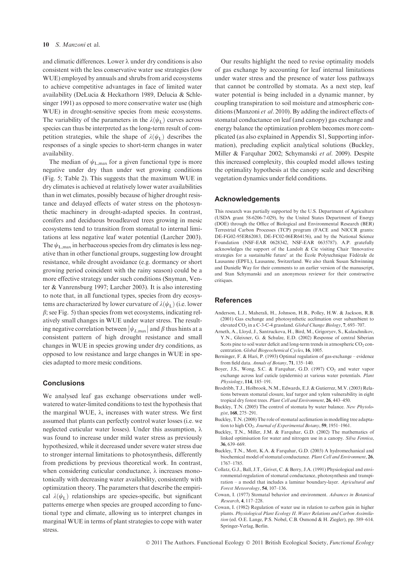and climatic differences. Lower  $\lambda$  under dry conditions is also consistent with the less conservative water use strategies (low WUE) employed by annuals and shrubs from arid ecosystems to achieve competitive advantages in face of limited water availability (DeLucia & Heckathorn 1989, Delucia & Schlesinger 1991) as opposed to more conservative water use (high WUE) in drought-sensitive species from mesic ecosystems. The variability of the parameters in the  $\lambda(\psi_{\text{I}})$  curves across species can thus be interpreted as the long-term result of competition strategies, while the shape of  $\lambda(\psi_L)$  describes the responses of a single species to short-term changes in water availability.

The median of  $\psi_{L,\text{max}}$  for a given functional type is more negative under dry than under wet growing conditions (Fig. 5; Table 2). This suggests that the maximum WUE in dry climates is achieved at relatively lower water availabilities than in wet climates, possibly because of higher drought resistance and delayed effects of water stress on the photosynthetic machinery in drought-adapted species. In contrast, conifers and deciduous broadleaved trees growing in mesic ecosystems tend to transition from stomatal to internal limitations at less negative leaf water potential (Larcher 2003). The  $\psi_{\text{L,max}}$  in herbaceous species from dry climates is less negative than in other functional groups, suggesting low drought resistance, while drought avoidance (e.g. dormancy or short growing period coincident with the rainy season) could be a more effective strategy under such conditions (Snyman, Venter & Vanrensburg 1997; Larcher 2003). It is also interesting to note that, in all functional types, species from dry ecosystems are characterized by lower curvature of  $\lambda(\psi_L)$  (i.e. lower  $\beta$ ; see Fig. 5) than species from wet ecosystems, indicating relatively small changes in WUE under water stress. The resulting negative correlation between  $|\psi_{L,\text{max}}|$  and  $\beta$  thus hints at a consistent pattern of high drought resistance and small changes in WUE in species growing under dry conditions, as opposed to low resistance and large changes in WUE in species adapted to more mesic conditions.

## **Conclusions**

We analysed leaf gas exchange observations under wellwatered to water-limited conditions to test the hypothesis that the marginal WUE,  $\lambda$ , increases with water stress. We first assumed that plants can perfectly control water losses (i.e. we neglected cuticular water losses). Under this assumption,  $\lambda$ was found to increase under mild water stress as previously hypothesized, while it decreased under severe water stress due to stronger internal limitations to photosynthesis, differently from predictions by previous theoretical work. In contrast, when considering cuticular conductance,  $\lambda$  increases monotonically with decreasing water availability, consistently with optimization theory. The parameters that describe the empirical  $\lambda(\psi_L)$  relationships are species-specific, but significant patterns emerge when species are grouped according to functional type and climate, allowing us to interpret changes in marginal WUE in terms of plant strategies to cope with water stress.

Our results highlight the need to revise optimality models of gas exchange by accounting for leaf internal limitations under water stress and the presence of water loss pathways that cannot be controlled by stomata. As a next step, leaf water potential is being included in a dynamic manner, by coupling transpiration to soil moisture and atmospheric conditions (Manzoni et al. 2010). By adding the indirect effects of stomatal conductance on leaf (and canopy) gas exchange and energy balance the optimization problem becomes more complicated (as also explained in Appendix S1, Supporting information), precluding explicit analytical solutions (Buckley, Miller & Farquhar 2002; Schymanski et al. 2009). Despite this increased complexity, this coupled model allows testing the optimality hypothesis at the canopy scale and describing vegetation dynamics under field conditions.

# Acknowledgements

This research was partially supported by the U.S. Department of Agriculture (USDA grant 58-6206-7-029), by the United States Department of Energy (DOE) through the Office of Biological and Environmental Research (BER) Terrestrial Carbon Processes (TCP) program (FACE and NICCR grants: DE-FG02-95ER62083, DE-FC02-06ER64156), and by the National Science Foundation (NSF-EAR 0628342, NSF-EAR 0635787). A.P. gratefully acknowledges the support of the Landolt & Cie visiting Chair 'Innovative strategies for a sustainable future' at the École Polytechnique Fédérale de Lausanne (EPFL), Lausanne, Switzerland. We also thank Susan Schwinning and Danielle Way for their comments to an earlier version of the manuscript, and Stan Schymanski and an anonymous reviewer for their constructive critiques.

## References

- Anderson, L.J., Maherali, H., Johnson, H.B., Polley, H.W. & Jackson, R.B. (2001) Gas exchange and photosynthetic acclimation over subambient to elevated  $CO<sub>2</sub>$  in a C-3-C-4 grassland. Global Change Biology, 7, 693–707.
- Arneth, A., Lloyd, J., Santruckova, H., Bird, M., Grigoryev, S., Kalaschnikov, Y.N., Gleixner, G. & Schulze, E.D. (2002) Response of central Siberian Scots pine to soil water deficit and long-term trends in atmospheric  $CO<sub>2</sub>$  concentration. Global Biogeochemical Cycles, 16, 1005.
- Berninger, F. & Hari, P. (1993) Optimal regulation of gas-exchange evidence from field data. Annals of Botany, 71, 135–140.
- Boyer, J.S., Wong, S.C. & Farquhar, G.D. (1997)  $CO<sub>2</sub>$  and water vapor exchange across leaf cuticle (epidermis) at various water potentials. Plant Physiology, 114, 185–191.
- Brodribb, T.J., Holbrook, N.M., Edwards, E.J. & Gutierrez, M.V. (2003) Relations between stomatal closure, leaf turgor and xylem vulnerability in eight tropical dry forest trees. Plant Cell and Environment, 26, 443–450.
- Buckley, T.N. (2005) The control of stomata by water balance. New Phytologist, 168, 275–291.
- Buckley, T.N. (2008) The role of stomatal acclimation in modelling tree adaptation to high CO<sub>2</sub>. Journal of Experimental Botany, 59, 1951-1961.
- Buckley, T.N., Miller, J.M. & Farquhar, G.D. (2002) The mathematics of linked optimisation for water and nitrogen use in a canopy. Silva Fennica, 36, 639–669.
- Buckley, T.N., Mott, K.A. & Farquhar, G.D. (2003) A hydromechanical and biochemical model of stomatal conductance. Plant Cell and Environment, 26, 1767–1785.
- Collatz, G.J., Ball, J.T., Grivet, C. & Berry, J.A. (1991) Physiological and environmental-regulation of stomatal conductance, photosynthesis and transpiration – a model that includes a laminar boundary-layer. Agricultural and Forest Meteorology, 54, 107–136.
- Cowan, I. (1977) Stomatal behavior and environment. Advances in Botanical Research, 4, 117–228.
- Cowan, I. (1982) Regulation of water use in relation to carbon gain in higher plants. Physiological Plant Ecology II. Water Relations and Carbon Assimilation (ed. O.E. Lange, P.S. Nobel, C.B. Osmond & H. Ziegler), pp. 589–614. Springer-Verlag, Berlin.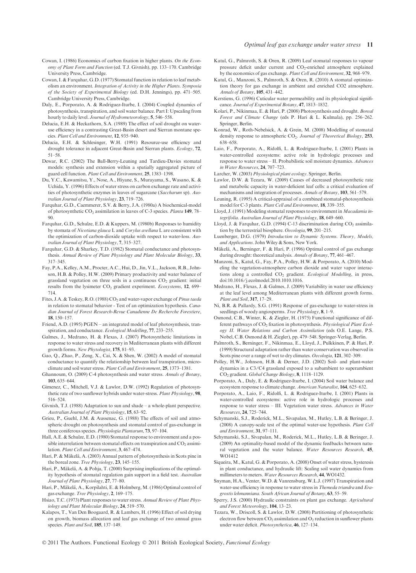- Cowan, I. (1986) Economics of carbon fixation in higher plants. On the Economy of Plant Form and Function (ed. T.J. Givnish), pp. 133–170. Cambridge University Press, Cambridge.
- Cowan, I. & Farquhar, G.D. (1977) Stomatal function in relation to leaf metabolism an environment. Integration of Activity in the Higher Plants. Symposia of the Society of Experimental Biology (ed. D.H. Jennings), pp. 471–505. Cambridge University Press, Cambridge.
- Daly, E., Porporato, A. & Rodriguez-Iturbe, I. (2004) Coupled dynamics of photosynthesis, transpiration, and soil water balance. Part I: Upscaling from hourly to daily level. Journal of Hydrometeorology, 5, 546–558.
- Delucia, E.H. & Heckathorn, S.A. (1989) The effect of soil drought on wateruse efficiency in a contrasting Great-Basin desert and Sierran montane species. Plant Cell and Environment, 12, 935–940.
- Delucia, E.H. & Schlesinger, W.H. (1991) Resource-use efficiency and drought tolerance in adjacent Great-Basin and Sierran plants. Ecology, 72, 51–58.
- Dewar, R.C. (2002) The Ball-Berry-Leuning and Tardieu-Davies stomatal models: synthesis and extension within a spatially aggregated picture of guard cell function. Plant Cell and Environment, 25, 1383–1398.
- Du, Y.C., Kawamitsu, Y., Nose, A., Hiyane, S., Murayama, S., Wasano, K. & Uchida, Y. (1996) Effects of water stress on carbon exchange rate and activities of photosynthetic enzymes in leaves of sugarcane (Saccharum sp). Australian Journal of Plant Physiology, 23, 719–726.
- Farquhar, G.D., Caemmerer, S.V. & Berry, J.A. (1980a) A biochemical-model of photosynthetic  $CO<sub>2</sub>$  assimilation in leaves of C-3 species. Planta 149, 78– 90.
- Farquhar, G.D., Schulze, E.D. & Kuppers, M. (1980b) Responses to humidity by stomata of Nicotiana glauca L and Corylus avellana L are consistent with the optimization of carbon-dioxide uptake with respect to water-loss. Australian Journal of Plant Physiology, 7, 315–327.
- Farquhar, G.D. & Sharkey, T.D. (1982) Stomatal conductance and photosynthesis. Annual Review of Plant Physiology and Plant Molecular Biology, 33, 317–345.
- Fay, P.A., Kelley, A.M., Procter, A.C., Hui, D., Jin, V.L., Jackson, R.B., Johnson, H.B. & Polley, H.W. (2009) Primary productivity and water balance of grassland vegetation on three soils in a continuous  $CO<sub>2</sub>$  gradient: initial results from the lysimeter CO<sub>2</sub> gradient experiment. *Ecosystems*, 12, 699– 714.
- Fites, J.A. & Teskey, R.O. (1988) CO<sub>2</sub> and water-vapor exchange of Pinus taeda in relation to stomatal behavior - Test of an optimization hypothesis. Canadian Journal of Forest Research-Revue Canadienne De Recherche Forestiere, 18, 150–157.
- Friend, A.D. (1995) PGEN an integrated model of leaf photosynthesis, transpiration, and conductance. Ecological Modelling, 77, 233–255.
- Galmes, J., Medrano, H. & Flexas, J. (2007) Photosynthetic limitations in response to water stress and recovery in Mediterranean plants with different growth forms. New Phytologist, 175, 81–93.
- Gao, Q., Zhao, P., Zeng, X., Cai, X. & Shen, W. (2002) A model of stomatal conductance to quantify the relationship between leaf transpiration, microclimate and soil water stress. Plant Cell and Environment, 25, 1373–1381.
- Ghannoum, O. (2009) C-4 photosynthesis and water stress. Annals of Botany, 103, 635–644.
- Gimenez, C., Mitchell, V.J. & Lawlor, D.W. (1992) Regulation of photosynthetic rate of two sunflower hybrids under water-stress. Plant Physiology, 98, 516–524.
- Givnish, T.J. (1988) Adaptation to sun and shade a whole-plant perspective. Australian Journal of Plant Physiology, 15, 63–92.
- Grieu, P., Guehl, J.M. & Aussenac, G. (1988) The effects of soil and atmospheric drought on photosynthesis and stomatal control of gas-exchange in three coniferous species. Physiologia Plantarum, 73, 97–104.
- Hall, A.E. & Schulze, E.D. (1980) Stomatal response to environment and a possible interrelation between stomatal effects on transpiration and  $CO<sub>2</sub>$  assimilation. Plant Cell and Environment, 3, 467–474.
- Hari, P. & Mäkelä, A. (2003) Annual pattern of photosynthesis in Scots pine in the boreal zone. Tree Physiology, 23, 145–155.
- Hari, P., Mäkelä, A. & Pohja, T. (2000) Surprising implications of the optimality hypothesis of stomatal regulation gain support in a field test. Australian Journal of Plant Physiology, 27, 77–80.
- Hari, P., Mäkelä, A., Korpilahti, E. & Holmberg, M. (1986) Optimal control of gas exchange. Tree Physiology, 2, 169–175.
- Hsiao, T.C. (1973) Plant responses to water stress. Annual Review of Plant Physiology and Plant Molecular Biology, 24, 519–570.
- Kalapos, T., Van Den Boogaard, R. & Lambers, H. (1996) Effect of soil drying on growth, biomass allocation and leaf gas exchange of two annual grass species. Plant and Soil, 185, 137-149.
- Katul, G., Palmroth, S. & Oren, R. (2009) Leaf stomatal responses to vapour pressure deficit under current and  $CO<sub>2</sub>$ -enriched atmosphere explained by the economics of gas exchange. Plant Cell and Environment, 32, 968–979.
- Katul, G., Manzoni, S., Palmroth, S. & Oren, R. (2010) A stomatal optimization theory for gas exchange in ambient and enriched CO2 atmosphere. Annals of Botany, 105, 431–442.
- Kerstiens, G. (1996) Cuticular water permeability and its physiological significance. Journal of Experimental Botany, 47, 1813–1832.
- Kolari, P., Nikinmaa, E. & Hari, P. (2008) Photosynthesis and drought. Boreal Forest and Climate Change (eds P. Hari & L. Kulmala), pp. 256–262. Springer, Berlin.
- Konrad, W., Roth-Nebelsick, A. & Grein, M. (2008) Modelling of stomatal density response to atmospheric CO<sub>2</sub>. Journal of Theoretical Biology, 253, 638–658.
- Laio, F., Porporato, A., Ridolfi, L. & Rodriguez-Iturbe, I. (2001) Plants in water-controlled ecosystems: active role in hydrologic processes and response to water stress – II. Probabilistic soil moisture dynamics. Advances in Water Resources, 24, 707–723.

Larcher, W. (2003) Physiological plant ecology. Springer, Berlin.

- Lawlor, D.W. & Tezara, W. (2009) Causes of decreased photosynthetic rate and metabolic capacity in water-deficient leaf cells: a critical evaluation of mechanisms and integration of processes. Annals of Botany, 103, 561–579.
- Leuning, R. (1995) A critical-appraisal of a combined stomatal-photosynthesis model for C-3 plants. Plant Cell and Environment, 18, 339–355.
- Lloyd, J. (1991) Modeling stomatal responses to environment in Macadamia integrifolia. Australian Journal of Plant Physiology, 18, 649–660.
- Lloyd, J. & Farquhar, G.D. (1994) C-13 discrimination during  $CO<sub>2</sub>$  assimilation by the terrestrial biosphere. Oecologia, 99, 201–215.
- Luenberger, D.G. (1979) Introduction to Dynamic Systems. Theory, Models, and Applications. John Wiley & Sons, New York.
- Mäkelä, A., Berninger, F. & Hari, P. (1996) Optimal control of gas exchange during drought: theoretical analysis. Annals of Botany, 77, 461–467.
- Manzoni, S., Katul, G., Fay, P.A., Polley, H.W. & Porporato, A. (2010) Modeling the vegetation-atmosphere carbon dioxide and water vapor interactions along a controlled CO<sub>2</sub> gradient. Ecological Modelling, in press, doi:10.1016 ⁄ j.ecolmodel.2010.1010.1016.
- Medrano, H., Flexas, J. & Galmes, J. (2009) Variability in water use efficiency at the leaf level among Mediterranean plants with different growth forms. Plant and Soil, 317, 17–29.
- Ni, B.R. & Pallardy, S.G. (1991) Response of gas-exchange to water-stress in seedlings of woody angiosperms. *Tree Physiology*, 8, 1–9.
- Osmond, C.B., Winter, K. & Ziegler, H. (1975) Functional significance of different pathways of CO<sub>2</sub> fixation in photosynthesis. Physiological Plant Ecology II. Water Relations and Carbon Assimilation (eds O.E. Lange, P.S. Nobel, C.B. Osmond & H. Ziegler), pp. 479–548. Springer-Verlag, Berlin.
- Palmroth, S., Berninger, F., Nikinmaa, E., Lloyd, J., Pulkkinen, P. & Hari, P. (1999) Structural adaptation rather than water conservation was observed in Scots pine over a range of wet to dry climates. Oecologia, 121, 302–309.
- Polley, H.W., Johnson, H.B. & Derner, J.D. (2002) Soil- and plant-water dynamics in a C3/C4 grassland exposed to a subambient to superambient CO<sub>2</sub> gradient. Global Change Biology, 8, 1118-1129.
- Porporato, A., Daly, E. & Rodriguez-Iturbe, I. (2004) Soil water balance and ecosystem response to climate change. American Naturalist, 164, 625–632.
- Porporato, A., Laio, F., Ridolfi, L. & Rodriguez-Iturbe, I. (2001) Plants in water-controlled ecosystems: active role in hydrologic processes and response to water stress – III. Vegetation water stress. Advances in Water Resources, 24, 725–744.
- Schymanski, S.J., Roderick, M.L., Sivapalan, M., Hutley, L.B. & Beringer, J. (2008) A canopy-scale test of the optimal water-use hypothesis. Plant Cell and Environment, 31, 97–111.
- Schymanski, S.J., Sivapalan, M., Roderick, M.L., Hutley, L.B. & Beringer, J. (2009) An optimality-based model of the dynamic feedbacks between natural vegetation and the water balance. Water Resources Research, 45, WO1412
- Siqueira, M., Katul, G. & Porporato, A. (2008) Onset of water stress, hysteresis in plant conductance, and hydraulic lift: Scaling soil water dynamics from millimeters to meters. Water Resources Research, 44, WO1432.
- Snyman, H.A., Venter, W.D. & Vanrensburg, W.L.J. (1997) Transpiration and water-use efficiency in response to water stress in *Themeda triandra* and *Era*grostis lehmanniana. South African Journal of Botany, 63, 55–59.
- Sperry, J.S. (2000) Hydraulic constraints on plant gas exchange. Agricultural and Forest Meteorology, 104, 13–23.
- Tezara, W., Driscoll, S. & Lawlor, D.W. (2008) Partitioning of photosynthetic electron flow between  $CO_2$  assimilation and  $O_2$  reduction in sunflower plants under water deficit. Photosynthetica, 46, 127–134.